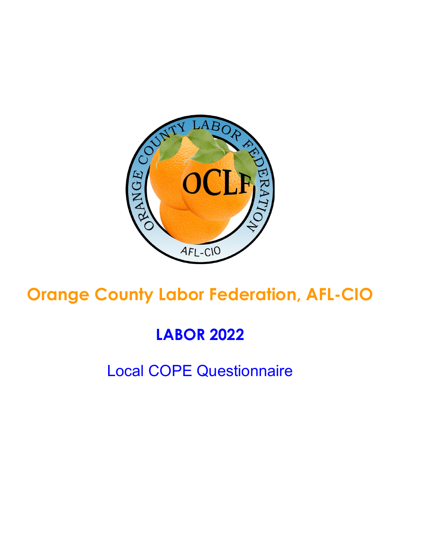

# **Orange County Labor Federation, AFL-CIO**

## **LABOR 2022**

## Local COPE Questionnaire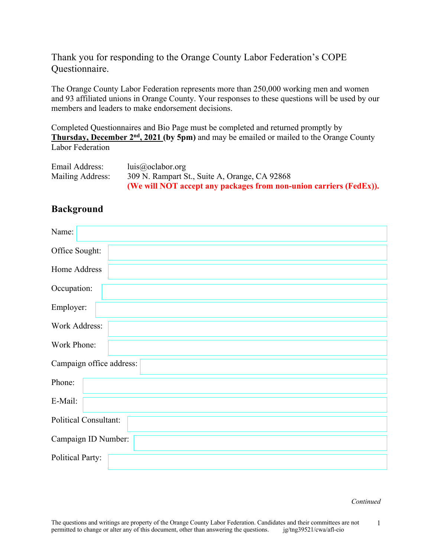Thank you for responding to the Orange County Labor Federation's COPE Questionnaire.

The Orange County Labor Federation represents more than 250,000 working men and women and 93 affiliated unions in Orange County. Your responses to these questions will be used by our members and leaders to make endorsement decisions.

Completed Questionnaires and Bio Page must be completed and returned promptly by **Thursday, December 2nd, 2021 (by 5pm)** and may be emailed or mailed to the Orange County Labor Federation

| Email Address:   | luis@oclabor.org                                                   |
|------------------|--------------------------------------------------------------------|
| Mailing Address: | 309 N. Rampart St., Suite A, Orange, CA 92868                      |
|                  | (We will NOT accept any packages from non-union carriers (FedEx)). |

### **Background**

| Name:                        |  |
|------------------------------|--|
| Office Sought:               |  |
| Home Address                 |  |
| Occupation:                  |  |
| Employer:                    |  |
| <b>Work Address:</b>         |  |
| Work Phone:                  |  |
| Campaign office address:     |  |
| Phone:                       |  |
| E-Mail:                      |  |
| <b>Political Consultant:</b> |  |
| Campaign ID Number:          |  |
| <b>Political Party:</b>      |  |

*Continued*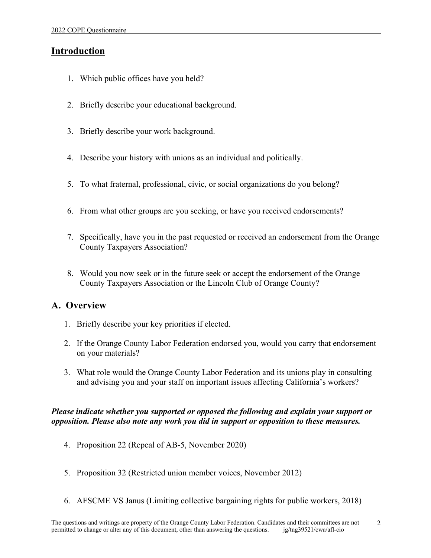## **Introduction**

- 1. Which public offices have you held?
- 2. Briefly describe your educational background.
- 3. Briefly describe your work background.
- 4. Describe your history with unions as an individual and politically.
- 5. To what fraternal, professional, civic, or social organizations do you belong?
- 6. From what other groups are you seeking, or have you received endorsements?
- 7. Specifically, have you in the past requested or received an endorsement from the Orange County Taxpayers Association?
- 8. Would you now seek or in the future seek or accept the endorsement of the Orange County Taxpayers Association or the Lincoln Club of Orange County?

## **A. Overview**

- 1. Briefly describe your key priorities if elected.
- 2. If the Orange County Labor Federation endorsed you, would you carry that endorsement on your materials?
- 3. What role would the Orange County Labor Federation and its unions play in consulting and advising you and your staff on important issues affecting California's workers?

#### *Please indicate whether you supported or opposed the following and explain your support or opposition. Please also note any work you did in support or opposition to these measures.*

- 4. Proposition 22 (Repeal of AB-5, November 2020)
- 5. Proposition 32 (Restricted union member voices, November 2012)
- 6. AFSCME VS Janus (Limiting collective bargaining rights for public workers, 2018)

2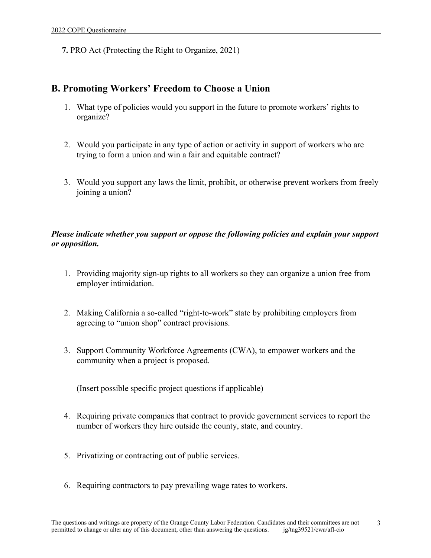**7.** PRO Act (Protecting the Right to Organize, 2021)

### **B. Promoting Workers' Freedom to Choose a Union**

- 1. What type of policies would you support in the future to promote workers' rights to organize?
- 2. Would you participate in any type of action or activity in support of workers who are trying to form a union and win a fair and equitable contract?
- 3. Would you support any laws the limit, prohibit, or otherwise prevent workers from freely joining a union?

#### *Please indicate whether you support or oppose the following policies and explain your support or opposition.*

- 1. Providing majority sign-up rights to all workers so they can organize a union free from employer intimidation.
- 2. Making California a so-called "right-to-work" state by prohibiting employers from agreeing to "union shop" contract provisions.
- 3. Support Community Workforce Agreements (CWA), to empower workers and the community when a project is proposed.

(Insert possible specific project questions if applicable)

- 4. Requiring private companies that contract to provide government services to report the number of workers they hire outside the county, state, and country.
- 5. Privatizing or contracting out of public services.
- 6. Requiring contractors to pay prevailing wage rates to workers.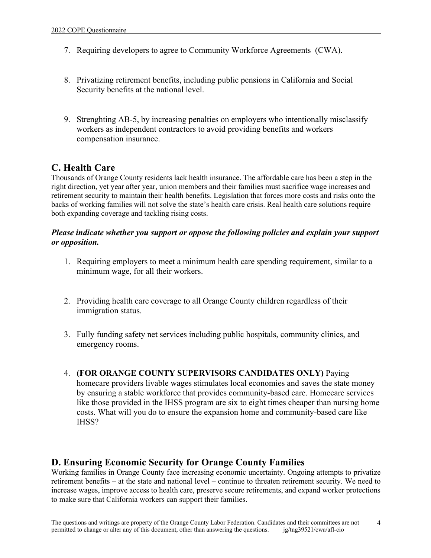- 7. Requiring developers to agree to Community Workforce Agreements (CWA).
- 8. Privatizing retirement benefits, including public pensions in California and Social Security benefits at the national level.
- 9. Strenghting AB-5, by increasing penalties on employers who intentionally misclassify workers as independent contractors to avoid providing benefits and workers compensation insurance.

### **C. Health Care**

Thousands of Orange County residents lack health insurance. The affordable care has been a step in the right direction, yet year after year, union members and their families must sacrifice wage increases and retirement security to maintain their health benefits. Legislation that forces more costs and risks onto the backs of working families will not solve the state's health care crisis. Real health care solutions require both expanding coverage and tackling rising costs.

#### *Please indicate whether you support or oppose the following policies and explain your support or opposition.*

- 1. Requiring employers to meet a minimum health care spending requirement, similar to a minimum wage, for all their workers.
- 2. Providing health care coverage to all Orange County children regardless of their immigration status.
- 3. Fully funding safety net services including public hospitals, community clinics, and emergency rooms.
- 4. **(FOR ORANGE COUNTY SUPERVISORS CANDIDATES ONLY)** Paying homecare providers livable wages stimulates local economies and saves the state money by ensuring a stable workforce that provides community-based care. Homecare services like those provided in the IHSS program are six to eight times cheaper than nursing home costs. What will you do to ensure the expansion home and community-based care like IHSS?

## **D. Ensuring Economic Security for Orange County Families**

Working families in Orange County face increasing economic uncertainty. Ongoing attempts to privatize retirement benefits – at the state and national level – continue to threaten retirement security. We need to increase wages, improve access to health care, preserve secure retirements, and expand worker protections to make sure that California workers can support their families.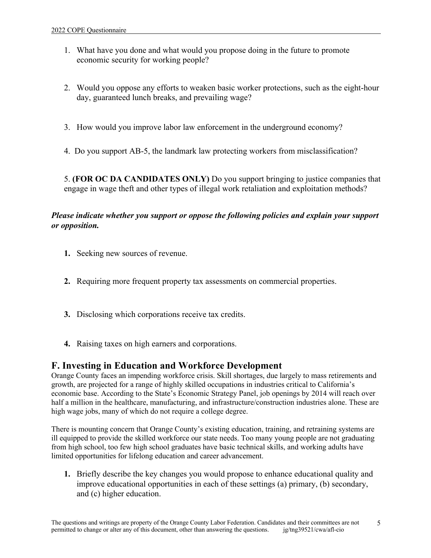- 1. What have you done and what would you propose doing in the future to promote economic security for working people?
- 2. Would you oppose any efforts to weaken basic worker protections, such as the eight-hour day, guaranteed lunch breaks, and prevailing wage?
- 3. How would you improve labor law enforcement in the underground economy?
- 4. Do you support AB-5, the landmark law protecting workers from misclassification?

5. **(FOR OC DA CANDIDATES ONLY)** Do you support bringing to justice companies that engage in wage theft and other types of illegal work retaliation and exploitation methods?

#### *Please indicate whether you support or oppose the following policies and explain your support or opposition.*

- **1.** Seeking new sources of revenue.
- **2.** Requiring more frequent property tax assessments on commercial properties.
- **3.** Disclosing which corporations receive tax credits.
- **4.** Raising taxes on high earners and corporations.

### **F. Investing in Education and Workforce Development**

Orange County faces an impending workforce crisis. Skill shortages, due largely to mass retirements and growth, are projected for a range of highly skilled occupations in industries critical to California's economic base. According to the State's Economic Strategy Panel, job openings by 2014 will reach over half a million in the healthcare, manufacturing, and infrastructure/construction industries alone. These are high wage jobs, many of which do not require a college degree.

There is mounting concern that Orange County's existing education, training, and retraining systems are ill equipped to provide the skilled workforce our state needs. Too many young people are not graduating from high school, too few high school graduates have basic technical skills, and working adults have limited opportunities for lifelong education and career advancement.

**1.** Briefly describe the key changes you would propose to enhance educational quality and improve educational opportunities in each of these settings (a) primary, (b) secondary, and (c) higher education.

5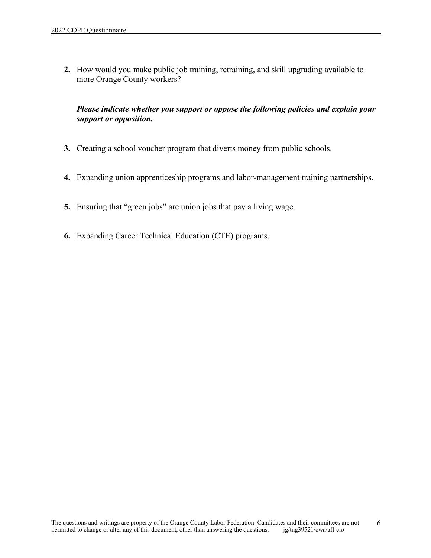**2.** How would you make public job training, retraining, and skill upgrading available to more Orange County workers?

#### *Please indicate whether you support or oppose the following policies and explain your support or opposition.*

- **3.** Creating a school voucher program that diverts money from public schools.
- **4.** Expanding union apprenticeship programs and labor-management training partnerships.
- **5.** Ensuring that "green jobs" are union jobs that pay a living wage.
- **6.** Expanding Career Technical Education (CTE) programs.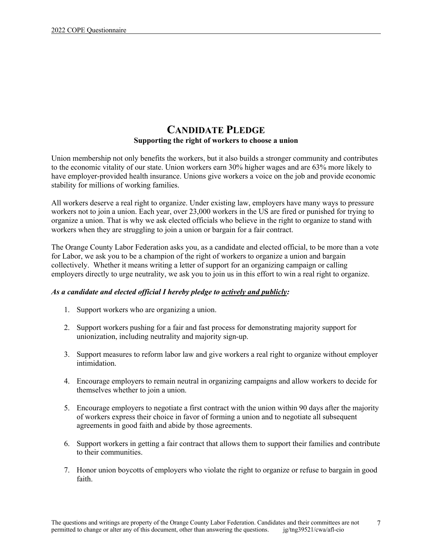### **CANDIDATE PLEDGE Supporting the right of workers to choose a union**

Union membership not only benefits the workers, but it also builds a stronger community and contributes to the economic vitality of our state. Union workers earn 30% higher wages and are 63% more likely to have employer-provided health insurance. Unions give workers a voice on the job and provide economic stability for millions of working families.

All workers deserve a real right to organize. Under existing law, employers have many ways to pressure workers not to join a union. Each year, over 23,000 workers in the US are fired or punished for trying to organize a union. That is why we ask elected officials who believe in the right to organize to stand with workers when they are struggling to join a union or bargain for a fair contract.

The Orange County Labor Federation asks you, as a candidate and elected official, to be more than a vote for Labor, we ask you to be a champion of the right of workers to organize a union and bargain collectively. Whether it means writing a letter of support for an organizing campaign or calling employers directly to urge neutrality, we ask you to join us in this effort to win a real right to organize.

#### *As a candidate and elected official I hereby pledge to actively and publicly:*

- 1. Support workers who are organizing a union.
- 2. Support workers pushing for a fair and fast process for demonstrating majority support for unionization, including neutrality and majority sign-up.
- 3. Support measures to reform labor law and give workers a real right to organize without employer intimidation.
- 4. Encourage employers to remain neutral in organizing campaigns and allow workers to decide for themselves whether to join a union.
- 5. Encourage employers to negotiate a first contract with the union within 90 days after the majority of workers express their choice in favor of forming a union and to negotiate all subsequent agreements in good faith and abide by those agreements.
- 6. Support workers in getting a fair contract that allows them to support their families and contribute to their communities.
- 7. Honor union boycotts of employers who violate the right to organize or refuse to bargain in good faith.

7